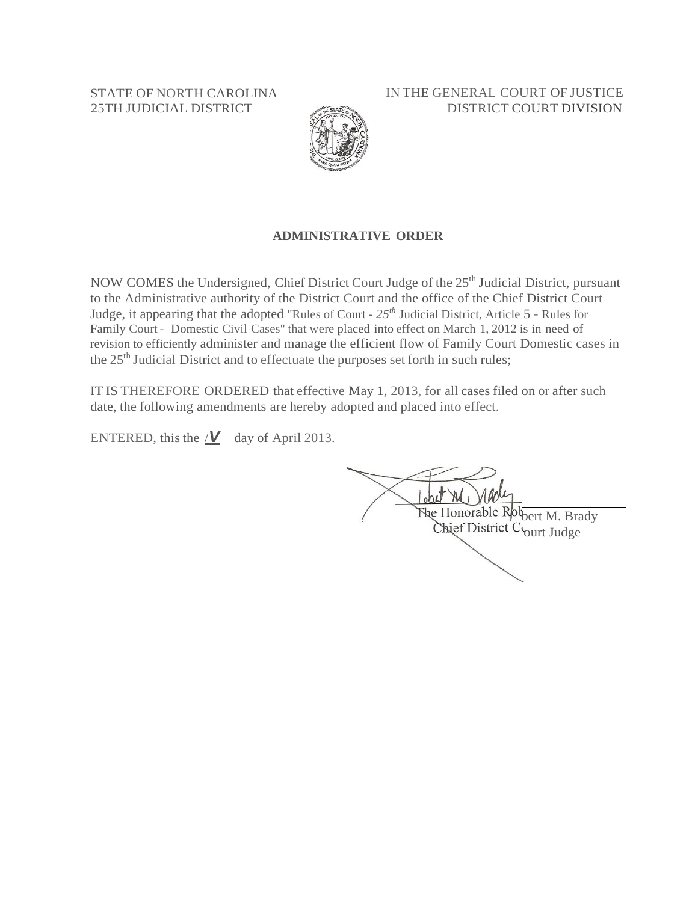STATE OF NORTH CAROLINA 25TH JUDICIAL DISTRICT

IN THE GENERAL COURT OF JUSTICE DISTRICT COURT DIVISION



### **ADMINISTRATIVE ORDER**

NOW COMES the Undersigned, Chief District Court Judge of the 25<sup>th</sup> Judicial District, pursuant to the Administrative authority of the District Court and the office of the Chief District Court Judge, it appearing that the adopted "Rules of Court - *25th* Judicial District, Article 5 - Rules for Family Court - Domestic Civil Cases" that were placed into effect on March 1, 2012 is in need of revision to efficiently administer and manage the efficient flow of Family Court Domestic cases in the 25<sup>th</sup> Judicial District and to effectuate the purposes set forth in such rules;

IT IS THEREFORE ORDERED that effective May 1, 2013, for all cases filed on or after such date, the following amendments are hereby adopted and placed into effect.

ENTERED, this the  $\angle$ **//** day of April 2013.

The Honorable Rot<sub>bert</sub> M. Brady Chief District Court Judge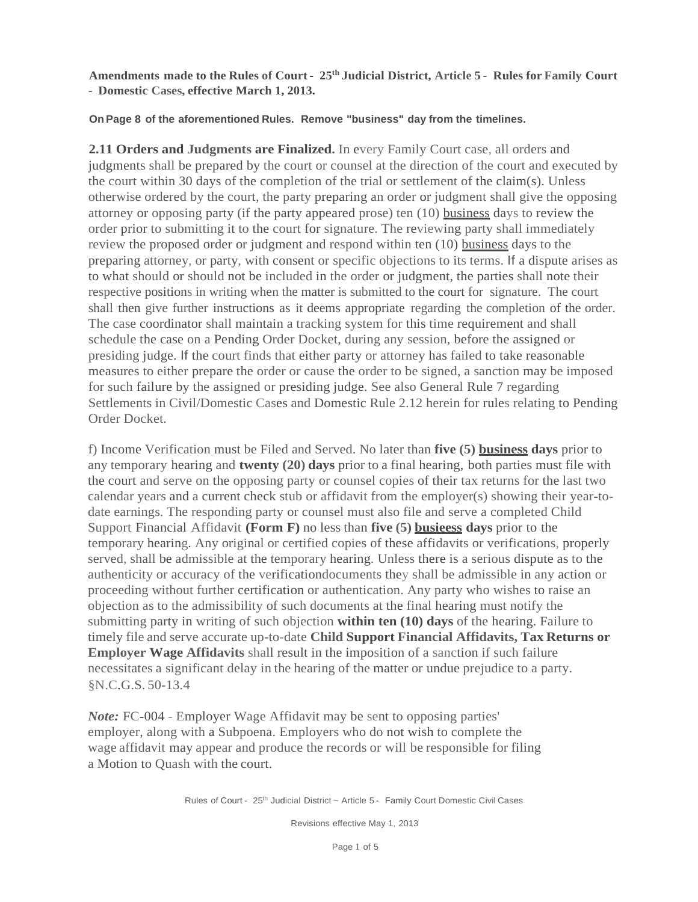**Amendments made to the Rules of Court**- **25th Judicial District, Article 5** - **Rules for Family Court** - **Domestic Cases, effective March 1, 2013.**

#### **On Page 8 of the aforementioned Rules. Remove "business" day from the timelines.**

**2.11 Orders and Judgments are Finalized.** In every Family Court case, all orders and judgments shall be prepared by the court or counsel at the direction of the court and executed by the court within 30 days of the completion of the trial or settlement of the claim(s). Unless otherwise ordered by the court, the party preparing an order or judgment shall give the opposing attorney or opposing party (if the party appeared prose) ten (10) business days to review the order prior to submitting it to the court for signature. The reviewing party shall immediately review the proposed order or judgment and respond within ten (10) business days to the preparing attorney, or party, with consent or specific objections to its terms. If a dispute arises as to what should or should not be included in the order or judgment, the parties shall note their respective positions in writing when the matter is submitted to the court for signature. The court shall then give further instructions as it deems appropriate regarding the completion of the order. The case coordinator shall maintain a tracking system for this time requirement and shall schedule the case on a Pending Order Docket, during any session, before the assigned or presiding judge. If the court finds that either party or attorney has failed to take reasonable measures to either prepare the order or cause the order to be signed, a sanction may be imposed for such failure by the assigned or presiding judge. See also General Rule 7 regarding Settlements in Civil/Domestic Cases and Domestic Rule 2.12 herein for rules relating to Pending Order Docket.

f) Income Verification must be Filed and Served. No later than **five (5) business days** prior to any temporary hearing and **twenty (20) days** prior to a final hearing, both parties must file with the court and serve on the opposing party or counsel copies of their tax returns for the last two calendar years and a current check stub or affidavit from the employer(s) showing their year-todate earnings. The responding party or counsel must also file and serve a completed Child Support Financial Affidavit **(Form F)** no less than **five (5) busieess days** prior to the temporary hearing. Any original or certified copies of these affidavits or verifications, properly served, shall be admissible at the temporary hearing. Unless there is a serious dispute as to the authenticity or accuracy of the verificationdocuments they shall be admissible in any action or proceeding without further certification or authentication. Any party who wishes to raise an objection as to the admissibility of such documents at the final hearing must notify the submitting party in writing of such objection **within ten (10) days** of the hearing. Failure to timely file and serve accurate up-to-date **Child Support Financial Affidavits, Tax Returns or Employer Wage Affidavits** shall result in the imposition of a sanction if such failure necessitates a significant delay in the hearing of the matter or undue prejudice to a party. §N.C.G.S. 50-13.4

*Note:* FC-004 - Employer Wage Affidavit may be sent to opposing parties' employer, along with a Subpoena. Employers who do not wish to complete the wage affidavit may appear and produce the records or will be responsible for filing a Motion to Quash with the court.

Rules of Court - 25<sup>th</sup> Judicial District ~ Article 5 - Family Court Domestic Civil Cases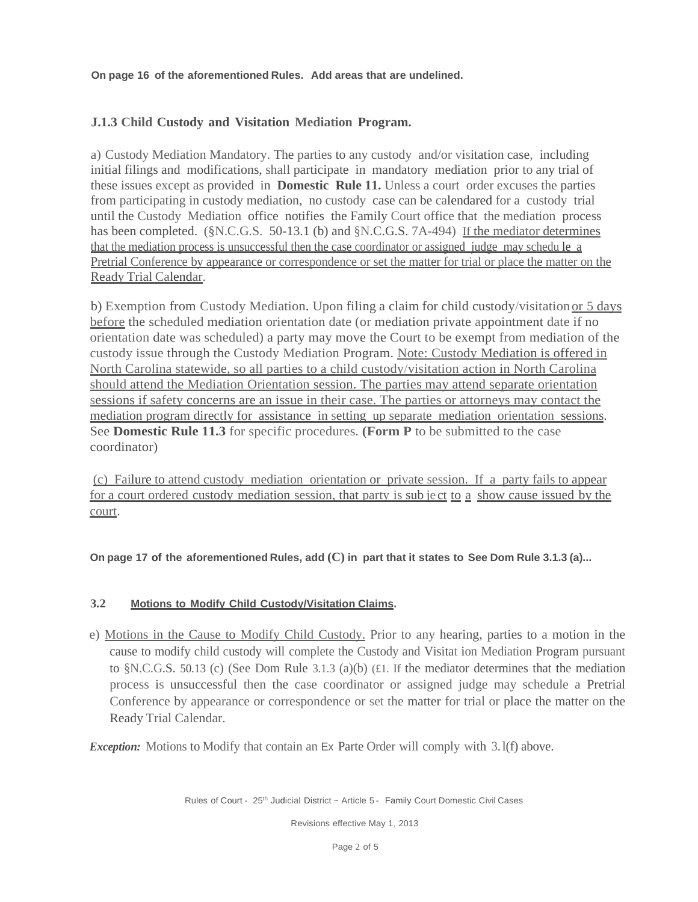**On page 16 of the aforementioned Rules. Add areas that are undelined.**

## **J.1.3 Child Custody and Visitation Mediation Program.**

a) Custody Mediation Mandatory. The parties to any custody and/or visitation case, including initial filings and modifications, shall participate in mandatory mediation prior to any trial of these issues except as provided in **Domestic Rule 11.** Unless a court order excuses the parties from participating in custody mediation, no custody case can be calendared for a custody trial until the Custody Mediation office notifies the Family Court office that the mediation process has been completed. (§N.C.G.S. 50-13.1 (b) and §N.C.G.S. 7A-494) If the mediator determines that the mediation process is unsuccessful then the case coordinator or assigned judge may schedu le a Pretrial Conference by appearance or correspondence or set the matter for trial or place the matter on the Ready Trial Calendar.

b) Exemption from Custody Mediation. Upon filing a claim for child custody/visitation or 5 days before the scheduled mediation orientation date (or mediation private appointment date if no orientation date was scheduled) a party may move the Court to be exempt from mediation of the custody issue through the Custody Mediation Program. Note: Custody Mediation is offered in North Carolina statewide, so all parties to a child custody/visitation action in North Carolina should attend the Mediation Orientation session. The parties may attend separate orientation sessions if safety concerns are an issue in their case. The parties or attorneys may contact the mediation program directly for assistance in setting up separate mediation orientation sessions. See **Domestic Rule 11.3** for specific procedures. **(Form P** to be submitted to the case coordinator)

(c) Failure to attend custody mediation orientation or private session. If a party fails to appear for a court ordered custody mediation session, that party is sub je ct to a show cause issued by the court.

On page 17 of the aforementioned Rules, add  $(C)$  in part that it states to See Dom Rule 3.1.3 (a)...

#### **3.2 Motions to Modify Child Custody/Visitation Claims.**

e) Motions in the Cause to Modify Child Custody. Prior to any hearing, parties to a motion in the cause to modify child custody will complete the Custody and Visitat ion Mediation Program pursuant to §N.C.G.S. 50.13 (c) (See Dom Rule 3.1.3 (a)(b) (£1. If the mediator determines that the mediation process is unsuccessful then the case coordinator or assigned judge may schedule a Pretrial Conference by appearance or correspondence or set the matter for trial or place the matter on the Ready Trial Calendar.

*Exception:* Motions to Modify that contain an Ex Parte Order will comply with 3.1(f) above.

Rules of Court - 25<sup>th</sup> Judicial District ~ Article 5 - Family Court Domestic Civil Cases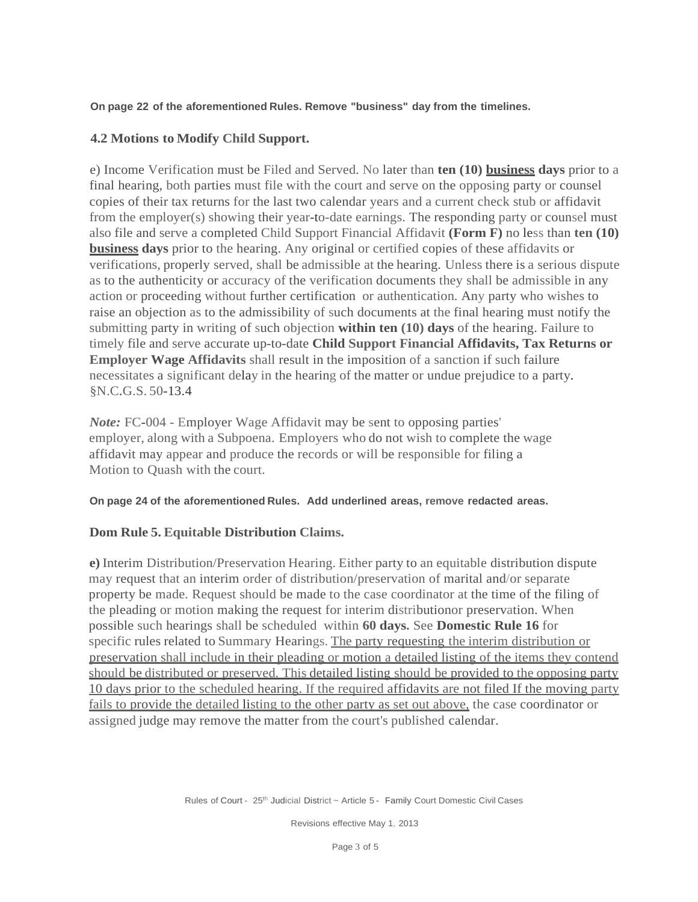### **On page 22 of the aforementioned Rules. Remove "business" day from the timelines.**

## **4.2 Motions to Modify Child Support.**

e) Income Verification must be Filed and Served. No later than **ten (10) business days** prior to a final hearing, both parties must file with the court and serve on the opposing party or counsel copies of their tax returns for the last two calendar years and a current check stub or affidavit from the employer(s) showing their year-to-date earnings. The responding party or counsel must also file and serve a completed Child Support Financial Affidavit **(Form F)** no less than **ten (10) business days** prior to the hearing. Any original or certified copies of these affidavits or verifications, properly served, shall be admissible at the hearing. Unless there is a serious dispute as to the authenticity or accuracy of the verification documents they shall be admissible in any action or proceeding without further certification or authentication. Any party who wishes to raise an objection as to the admissibility of such documents at the final hearing must notify the submitting party in writing of such objection **within ten (10) days** of the hearing. Failure to timely file and serve accurate up-to-date **Child Support Financial Affidavits, Tax Returns or Employer Wage Affidavits** shall result in the imposition of a sanction if such failure necessitates a significant delay in the hearing of the matter or undue prejudice to a party. §N.C.G.S. 50-13.4

*Note:* FC-004 - Employer Wage Affidavit may be sent to opposing parties' employer, along with a Subpoena. Employers who do not wish to complete the wage affidavit may appear and produce the records or will be responsible for filing a Motion to Quash with the court.

#### **On page 24 of the aforementioned Rules. Add underlined areas, remove redacted areas.**

# **Dom Rule 5. Equitable Distribution Claims.**

**e)** Interim Distribution/Preservation Hearing. Either party to an equitable distribution dispute may request that an interim order of distribution/preservation of marital and/or separate property be made. Request should be made to the case coordinator at the time of the filing of the pleading or motion making the request for interim distributionor preservation. When possible such hearings shall be scheduled within **60 days.** See **Domestic Rule 16** for specific rules related to Summary Hearings. The party requesting the interim distribution or preservation shall include in their pleading or motion a detailed listing of the items they contend should be distributed or preserved. This detailed listing should be provided to the opposing party 10 days prior to the scheduled hearing. If the required affidavits are not filed If the moving party fails to provide the detailed listing to the other party as set out above, the case coordinator or assigned judge may remove the matter from the court's published calendar.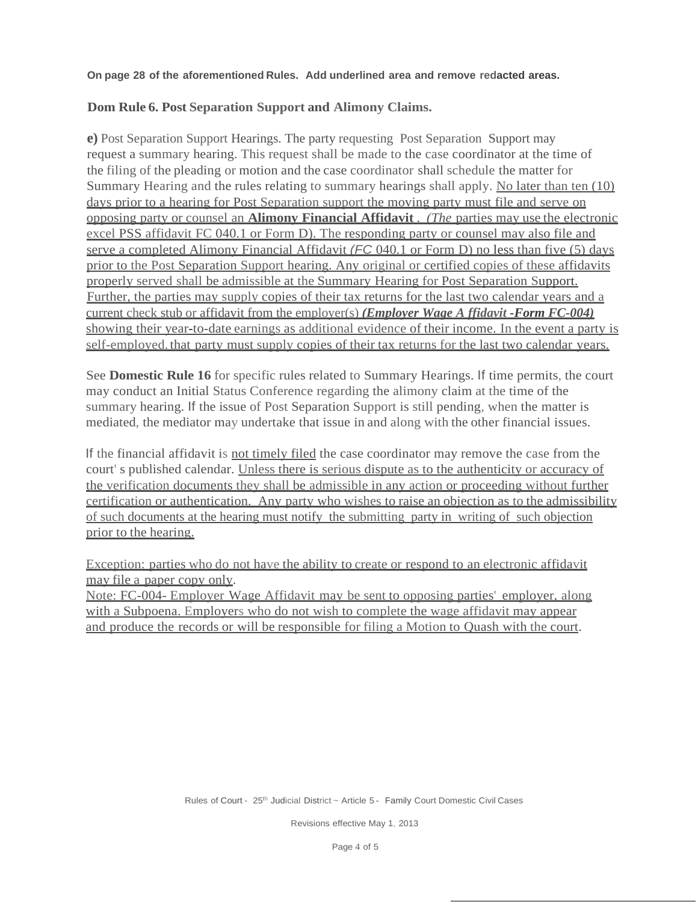#### **On page 28 of the aforementioned Rules. Add underlined area and remove redacted areas.**

### **Dom Rule 6. Post Separation Support and Alimony Claims.**

**e)** Post Separation Support Hearings. The party requesting Post Separation Support may request a summary hearing. This request shall be made to the case coordinator at the time of the filing of the pleading or motion and the case coordinator shall schedule the matter for Summary Hearing and the rules relating to summary hearings shall apply. No later than ten (10) days prior to a hearing for Post Separation support the moving party must file and serve on opposing party or counsel an **Alimony Financial Affidavit** . *(The* parties may use the electronic excel PSS affidavit FC 040.1 or Form D). The responding party or counsel may also file and serve a completed Alimony Financial Affidavit *(FC* 040.1 or Form D) no less than five (5) days prior to the Post Separation Support hearing. Any original or certified copies of these affidavits properly served shall be admissible at the Summary Hearing for Post Separation Support. Further, the parties may supply copies of their tax returns for the last two calendar years and a current check stub or affidavit from the employer(s) *(Employer Wage A ffidavit -Form FC-004)* showing their year-to-date earnings as additional evidence of their income. In the event a party is self-employed, that party must supply copies of their tax returns for the last two calendar years.

See **Domestic Rule 16** for specific rules related to Summary Hearings. If time permits, the court may conduct an Initial Status Conference regarding the alimony claim at the time of the summary hearing. If the issue of Post Separation Support is still pending, when the matter is mediated, the mediator may undertake that issue in and along with the other financial issues.

If the financial affidavit is not timely filed the case coordinator may remove the case from the court' s published calendar. Unless there is serious dispute as to the authenticity or accuracy of the verification documents they shall be admissible in any action or proceeding without further certification or authentication. Any party who wishes to raise an objection as to the admissibility of such documents at the hearing must notify the submitting party in writing of such objection prior to the hearing.

Exception: parties who do not have the ability to create or respond to an electronic affidavit may file a paper copy only.

Note: FC-004- Employer Wage Affidavit may be sent to opposing parties' employer, along with a Subpoena. Employers who do not wish to complete the wage affidavit may appear and produce the records or will be responsible for filing a Motion to Quash with the court.